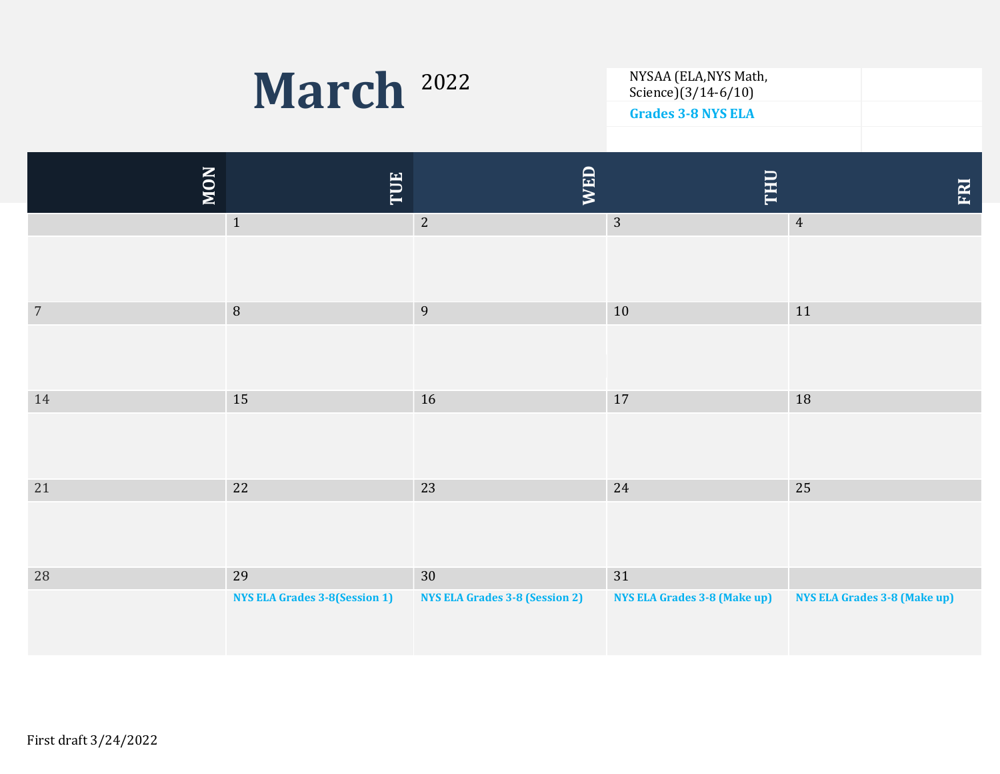

NYSAA (ELA, NYS Math,<br>Science)(3/14-6/10) Grades 3-8 NYS ELA

| <b>MON</b>     | TUE                                  | <b>WED</b>                            | THU                                 | ERI                                 |
|----------------|--------------------------------------|---------------------------------------|-------------------------------------|-------------------------------------|
|                | $\mathbf{1}$                         | $\overline{2}$                        | $\overline{3}$                      | $\overline{4}$                      |
|                |                                      |                                       |                                     |                                     |
| $\overline{7}$ | $\, 8$                               | $\overline{9}$                        | 10                                  | 11                                  |
|                |                                      |                                       |                                     |                                     |
| 14             | 15                                   | 16                                    | 17                                  | 18                                  |
|                |                                      |                                       |                                     |                                     |
| 21             | 22                                   | 23                                    | 24                                  | 25                                  |
|                |                                      |                                       |                                     |                                     |
| $28\,$         | 29                                   | 30                                    | 31                                  |                                     |
|                | <b>NYS ELA Grades 3-8(Session 1)</b> | <b>NYS ELA Grades 3-8 (Session 2)</b> | <b>NYS ELA Grades 3-8 (Make up)</b> | <b>NYS ELA Grades 3-8 (Make up)</b> |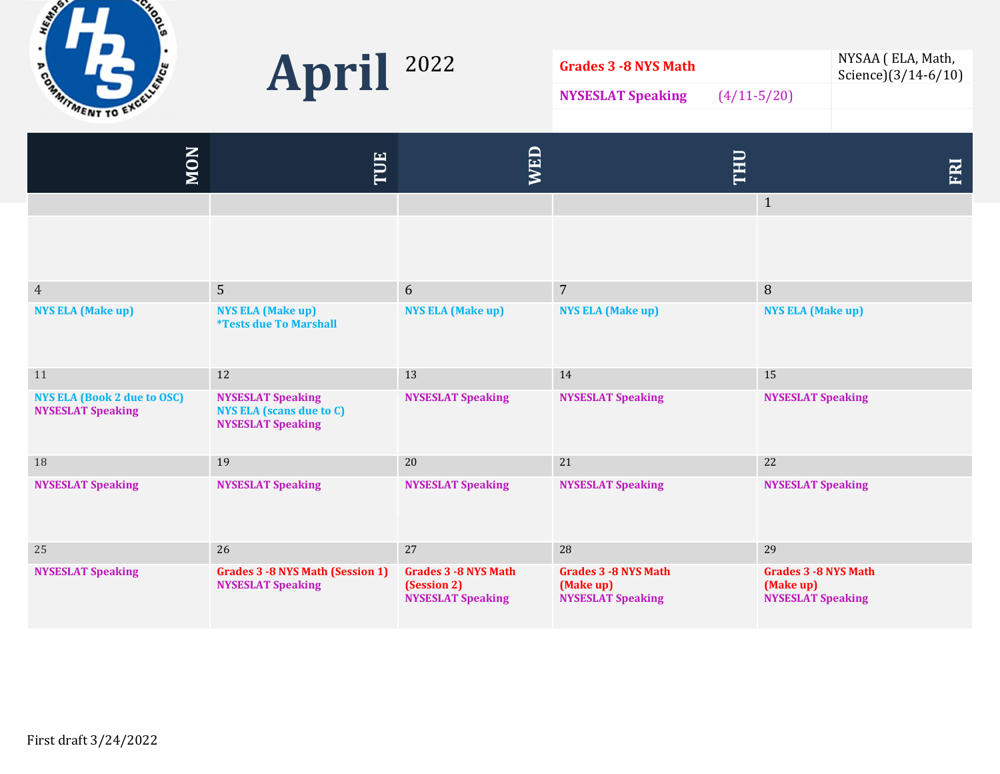



| Grades 3 -8 NYS Math     |                 | NYSAA (ELA, Math,<br>Science $(3/14 - 6/10)$ |
|--------------------------|-----------------|----------------------------------------------|
| <b>NYSESLAT Speaking</b> | $(4/11 - 5/20)$ |                                              |
|                          |                 |                                              |

| <b>MON</b>                                                     | TUE                                                                                     | WED                                                                     | THU                                                                   | <b>FRI</b>                                                           |
|----------------------------------------------------------------|-----------------------------------------------------------------------------------------|-------------------------------------------------------------------------|-----------------------------------------------------------------------|----------------------------------------------------------------------|
|                                                                |                                                                                         |                                                                         |                                                                       | $\mathbf{1}$                                                         |
|                                                                |                                                                                         |                                                                         |                                                                       |                                                                      |
| $\overline{4}$                                                 | $\overline{5}$                                                                          | 6                                                                       | $7\overline{ }$                                                       | $\, 8$                                                               |
| <b>NYS ELA (Make up)</b>                                       | <b>NYS ELA (Make up)</b><br><i><b>*Tests due To Marshall</b></i>                        | <b>NYS ELA (Make up)</b>                                                | <b>NYS ELA (Make up)</b>                                              | <b>NYS ELA (Make up)</b>                                             |
| 11                                                             | 12                                                                                      | 13                                                                      | 14                                                                    | 15                                                                   |
| <b>NYS ELA (Book 2 due to OSC)</b><br><b>NYSESLAT Speaking</b> | <b>NYSESLAT Speaking</b><br><b>NYS ELA (scans due to C)</b><br><b>NYSESLAT Speaking</b> | <b>NYSESLAT Speaking</b>                                                | <b>NYSESLAT Speaking</b>                                              | <b>NYSESLAT Speaking</b>                                             |
| 18                                                             | 19                                                                                      | 20                                                                      | 21                                                                    | 22                                                                   |
| <b>NYSESLAT Speaking</b>                                       | <b>NYSESLAT Speaking</b>                                                                | <b>NYSESLAT Speaking</b>                                                | <b>NYSESLAT Speaking</b>                                              | <b>NYSESLAT Speaking</b>                                             |
| 25                                                             | 26                                                                                      | 27                                                                      | 28                                                                    | 29                                                                   |
| <b>NYSESLAT Speaking</b>                                       | <b>Grades 3 -8 NYS Math (Session 1)</b><br><b>NYSESLAT Speaking</b>                     | <b>Grades 3 - 8 NYS Math</b><br>(Session 2)<br><b>NYSESLAT Speaking</b> | <b>Grades 3 - 8 NYS Math</b><br>(Make up)<br><b>NYSESLAT Speaking</b> | <b>Grades 3 -8 NYS Math</b><br>(Make up)<br><b>NYSESLAT Speaking</b> |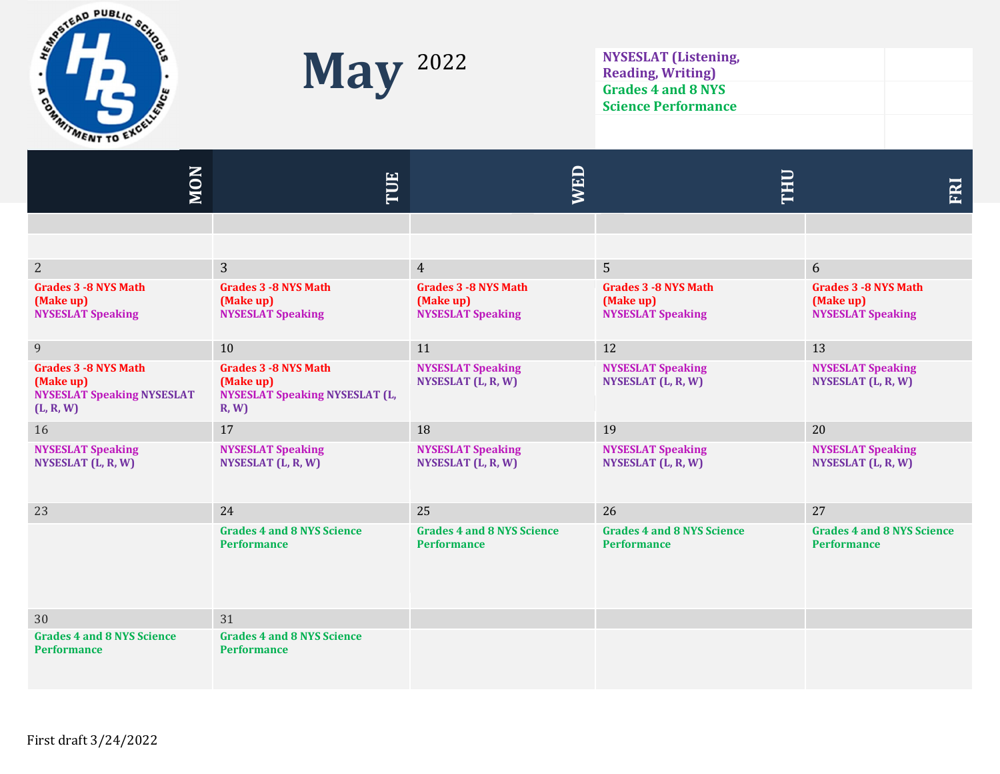



Reading, Writing) Grades 4 and 8 NYS Science Performance

| <b>NON</b>                                                                                  | TUE                                                                                        | WED                                                                  | THU                                                                   | <b>FRI</b>                                                            |
|---------------------------------------------------------------------------------------------|--------------------------------------------------------------------------------------------|----------------------------------------------------------------------|-----------------------------------------------------------------------|-----------------------------------------------------------------------|
|                                                                                             |                                                                                            |                                                                      |                                                                       |                                                                       |
|                                                                                             |                                                                                            |                                                                      |                                                                       |                                                                       |
| $\sqrt{2}$                                                                                  | 3                                                                                          | $\overline{4}$                                                       | $\overline{5}$                                                        | 6                                                                     |
| <b>Grades 3 - 8 NYS Math</b><br>(Make up)<br><b>NYSESLAT Speaking</b>                       | <b>Grades 3 - 8 NYS Math</b><br>(Make up)<br><b>NYSESLAT Speaking</b>                      | <b>Grades 3 -8 NYS Math</b><br>(Make up)<br><b>NYSESLAT Speaking</b> | <b>Grades 3 - 8 NYS Math</b><br>(Make up)<br><b>NYSESLAT Speaking</b> | <b>Grades 3 - 8 NYS Math</b><br>(Make up)<br><b>NYSESLAT Speaking</b> |
| $\overline{9}$                                                                              | 10                                                                                         | 11                                                                   | 12                                                                    | 13                                                                    |
| <b>Grades 3 - 8 NYS Math</b><br>(Make up)<br><b>NYSESLAT Speaking NYSESLAT</b><br>(L, R, W) | <b>Grades 3 - 8 NYS Math</b><br>(Make up)<br><b>NYSESLAT Speaking NYSESLAT (L,</b><br>R, W | <b>NYSESLAT Speaking</b><br>NYSESLAT (L, R, W)                       | <b>NYSESLAT Speaking</b><br>NYSESLAT (L, R, W)                        | <b>NYSESLAT Speaking</b><br>NYSESLAT (L, R, W)                        |
| 16                                                                                          | 17                                                                                         | 18                                                                   | 19                                                                    | 20                                                                    |
| <b>NYSESLAT Speaking</b><br>NYSESLAT (L, R, W)                                              | <b>NYSESLAT Speaking</b><br>NYSESLAT (L, R, W)                                             | <b>NYSESLAT Speaking</b><br>NYSESLAT (L, R, W)                       | <b>NYSESLAT Speaking</b><br>NYSESLAT (L, R, W)                        | <b>NYSESLAT Speaking</b><br>NYSESLAT (L, R, W)                        |
| 23                                                                                          | 24                                                                                         | 25                                                                   | 26                                                                    | 27                                                                    |
|                                                                                             | <b>Grades 4 and 8 NYS Science</b><br><b>Performance</b>                                    | <b>Grades 4 and 8 NYS Science</b><br><b>Performance</b>              | <b>Grades 4 and 8 NYS Science</b><br><b>Performance</b>               | <b>Grades 4 and 8 NYS Science</b><br><b>Performance</b>               |
| 30                                                                                          | 31                                                                                         |                                                                      |                                                                       |                                                                       |
| <b>Grades 4 and 8 NYS Science</b><br><b>Performance</b>                                     | <b>Grades 4 and 8 NYS Science</b><br><b>Performance</b>                                    |                                                                      |                                                                       |                                                                       |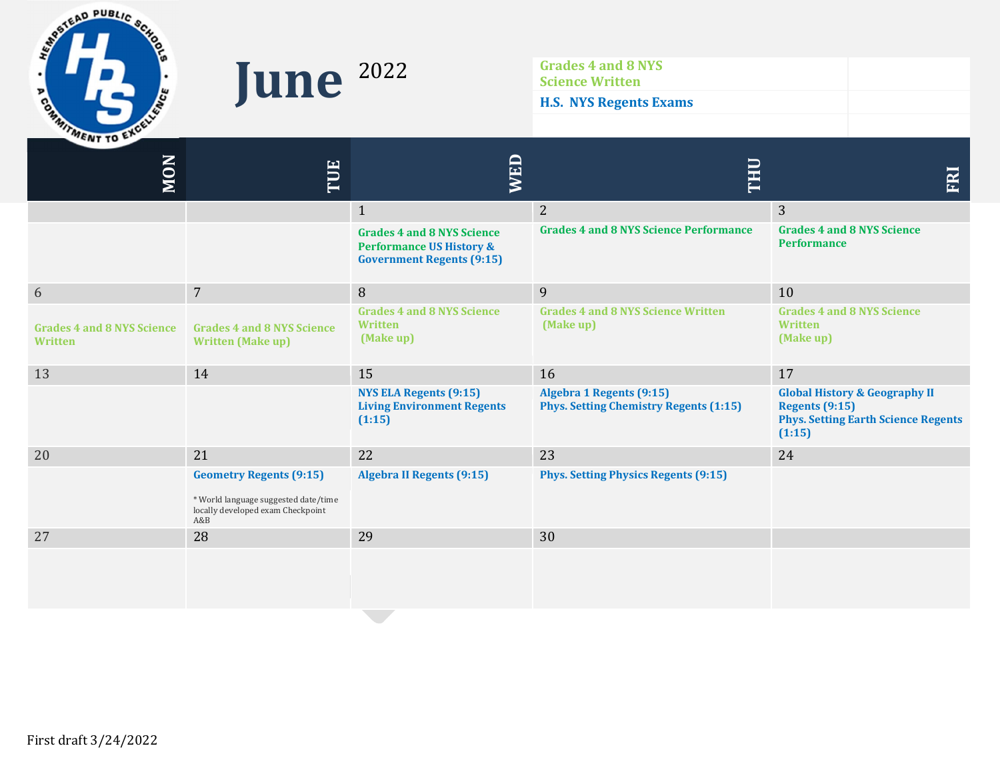

Grades 4 and 8 NYS<br>Science Written<br>HS NYS Rogente Ev Science Written H.S. NYS Regents Exams

| <b>MON</b>                                   | TUE                                                                                                                | <b>NED</b>                                                                                                   | THU                                                                              | FRI                                                                                                                       |
|----------------------------------------------|--------------------------------------------------------------------------------------------------------------------|--------------------------------------------------------------------------------------------------------------|----------------------------------------------------------------------------------|---------------------------------------------------------------------------------------------------------------------------|
|                                              |                                                                                                                    | $\mathbf{1}$                                                                                                 | $\overline{2}$                                                                   | 3                                                                                                                         |
|                                              |                                                                                                                    | <b>Grades 4 and 8 NYS Science</b><br><b>Performance US History &amp;</b><br><b>Government Regents (9:15)</b> | <b>Grades 4 and 8 NYS Science Performance</b>                                    | <b>Grades 4 and 8 NYS Science</b><br><b>Performance</b>                                                                   |
| 6                                            | $\overline{7}$                                                                                                     | 8                                                                                                            | 9                                                                                | 10                                                                                                                        |
| <b>Grades 4 and 8 NYS Science</b><br>Written | <b>Grades 4 and 8 NYS Science</b><br><b>Written (Make up)</b>                                                      | <b>Grades 4 and 8 NYS Science</b><br><b>Written</b><br>(Make up)                                             | <b>Grades 4 and 8 NYS Science Written</b><br>(Make up)                           | <b>Grades 4 and 8 NYS Science</b><br>Written<br>(Make up)                                                                 |
| 13                                           | 14                                                                                                                 | 15                                                                                                           | 16                                                                               | 17                                                                                                                        |
|                                              |                                                                                                                    | <b>NYS ELA Regents (9:15)</b><br><b>Living Environment Regents</b><br>(1:15)                                 | <b>Algebra 1 Regents (9:15)</b><br><b>Phys. Setting Chemistry Regents (1:15)</b> | <b>Global History &amp; Geography II</b><br><b>Regents (9:15)</b><br><b>Phys. Setting Earth Science Regents</b><br>(1:15) |
| 20                                           | 21                                                                                                                 | 22                                                                                                           | 23                                                                               | 24                                                                                                                        |
|                                              | <b>Geometry Regents (9:15)</b><br>* World language suggested date/time<br>locally developed exam Checkpoint<br>A&B | <b>Algebra II Regents (9:15)</b>                                                                             | <b>Phys. Setting Physics Regents (9:15)</b>                                      |                                                                                                                           |
| 27                                           | 28                                                                                                                 | 29                                                                                                           | 30                                                                               |                                                                                                                           |
|                                              |                                                                                                                    |                                                                                                              |                                                                                  |                                                                                                                           |